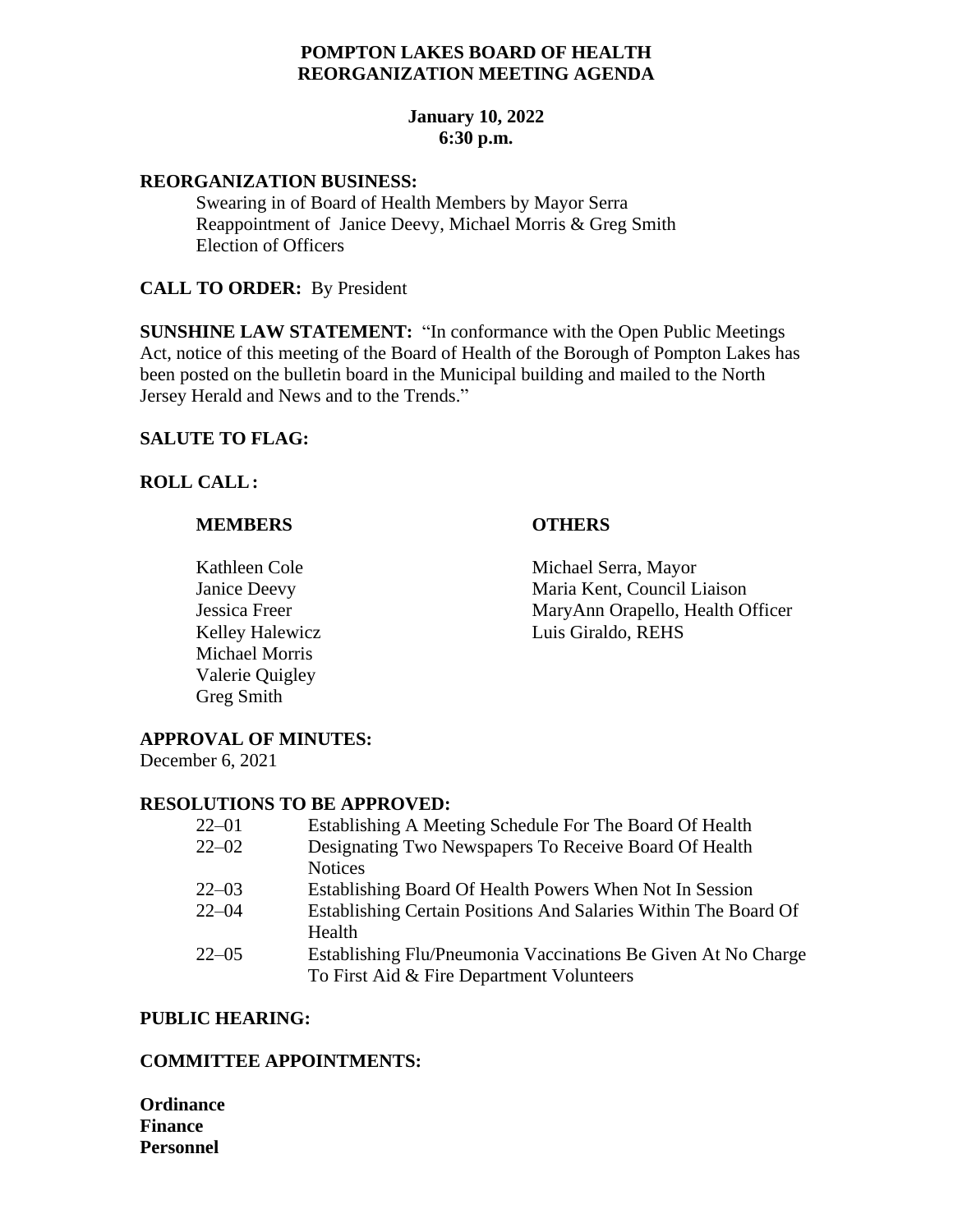# **POMPTON LAKES BOARD OF HEALTH REORGANIZATION MEETING AGENDA**

# **January 10, 2022 6:30 p.m.**

#### **REORGANIZATION BUSINESS:**

Swearing in of Board of Health Members by Mayor Serra Reappointment of Janice Deevy, Michael Morris & Greg Smith Election of Officers

### **CALL TO ORDER:** By President

**SUNSHINE LAW STATEMENT:** "In conformance with the Open Public Meetings Act, notice of this meeting of the Board of Health of the Borough of Pompton Lakes has been posted on the bulletin board in the Municipal building and mailed to the North Jersey Herald and News and to the Trends."

## **SALUTE TO FLAG:**

## **ROLL CALL:**

## **MEMBERS OTHERS**

Michael Morris Valerie Quigley Greg Smith

Kathleen Cole Michael Serra, Mayor Janice Deevy Maria Kent, Council Liaison Jessica Freer MaryAnn Orapello, Health Officer Kelley Halewicz Luis Giraldo, REHS

# **APPROVAL OF MINUTES:**

December 6, 2021

### **RESOLUTIONS TO BE APPROVED:**

| $22 - 01$ | Establishing A Meeting Schedule For The Board Of Health         |
|-----------|-----------------------------------------------------------------|
| $22 - 02$ | Designating Two Newspapers To Receive Board Of Health           |
|           | <b>Notices</b>                                                  |
| $22 - 03$ | Establishing Board Of Health Powers When Not In Session         |
| $22 - 04$ | Establishing Certain Positions And Salaries Within The Board Of |
|           | Health                                                          |
| $22 - 05$ | Establishing Flu/Pneumonia Vaccinations Be Given At No Charge   |
|           | To First Aid & Fire Department Volunteers                       |

### **PUBLIC HEARING:**

# **COMMITTEE APPOINTMENTS:**

**Ordinance Finance Personnel**